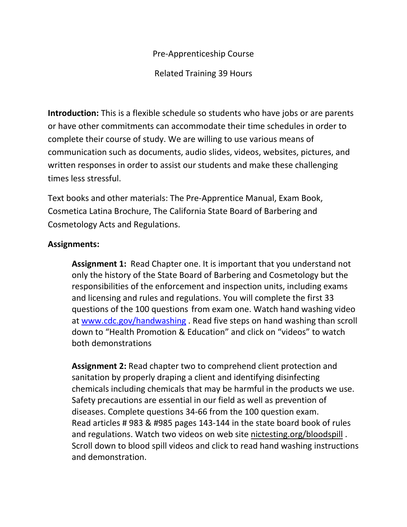Pre-Apprenticeship Course

Related Training 39 Hours

**Introduction:** This is a flexible schedule so students who have jobs or are parents or have other commitments can accommodate their time schedules in order to complete their course of study. We are willing to use various means of communication such as documents, audio slides, videos, websites, pictures, and written responses in order to assist our students and make these challenging times less stressful.

Text books and other materials: The Pre-Apprentice Manual, Exam Book, Cosmetica Latina Brochure, The California State Board of Barbering and Cosmetology Acts and Regulations.

## **Assignments:**

**Assignment 1:** Read Chapter one. It is important that you understand not only the history of the State Board of Barbering and Cosmetology but the responsibilities of the enforcement and inspection units, including exams and licensing and rules and regulations. You will complete the first 33 questions of the 100 questions from exam one. Watch hand washing video at [www.cdc.gov/handwashing](http://www.cdc.gov/handwashing) . Read five steps on hand washing than scroll down to "Health Promotion & Education" and click on "videos" to watch both demonstrations

**Assignment 2:** Read chapter two to comprehend client protection and sanitation by properly draping a client and identifying disinfecting chemicals including chemicals that may be harmful in the products we use. Safety precautions are essential in our field as well as prevention of diseases. Complete questions 34-66 from the 100 question exam. Read articles # 983 & #985 pages 143-144 in the state board book of rules and regulations. Watch two videos on web site nictesting.org/bloodspill . Scroll down to blood spill videos and click to read hand washing instructions and demonstration.